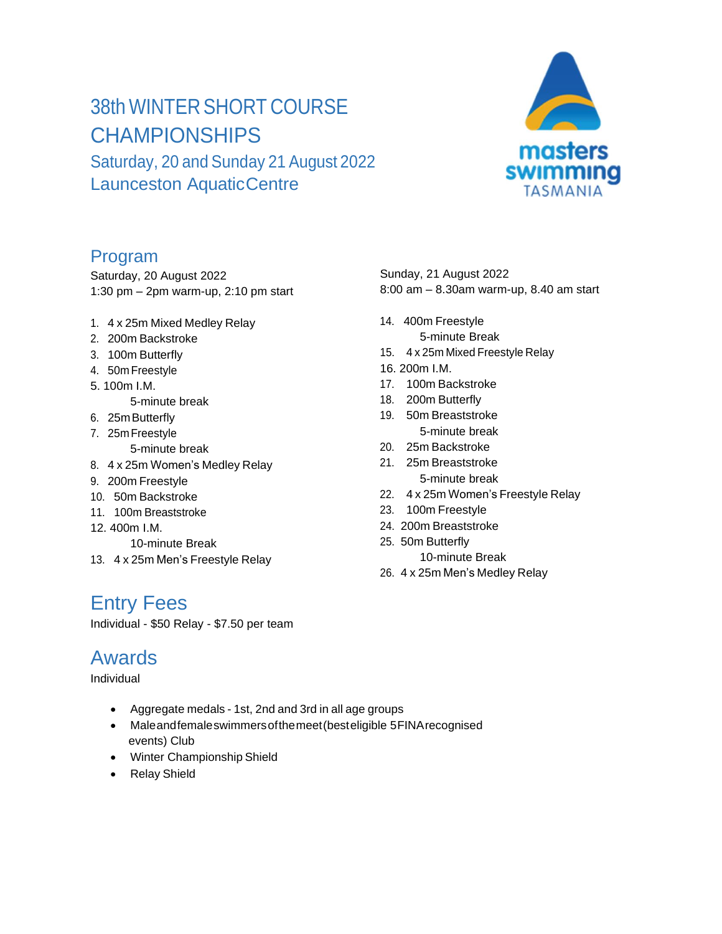# 38th WINTER SHORT COURSE **CHAMPIONSHIPS**

Saturday, 20 and Sunday 21 August 2022 Launceston AquaticCentre

#### Program

Saturday, 20 August 2022 1:30 pm – 2pm warm-up, 2:10 pm start

- 1. 4 x 25m Mixed Medley Relay
- 2. 200m Backstroke
- 3. 100m Butterfly
- 4. 50m Freestyle
- 5. 100m I.M.
	- 5-minute break
- 6. 25mButterfly
- 7. 25mFreestyle 5-minute break
- 8. 4 x 25m Women's Medley Relay
- 9. 200m Freestyle
- 10. 50m Backstroke
- 11. 100m Breaststroke
- 12. 400m I.M.
	- 10-minute Break
- 13. 4 x 25m Men's Freestyle Relay

#### Entry Fees

Individual - \$50 Relay - \$7.50 per team

#### Awards

Individual

- Aggregate medals 1st, 2nd and 3rd in all age groups
- Maleandfemaleswimmersofthemeet(besteligible 5FINArecognised events) Club
- Winter Championship Shield
- Relay Shield

Sunday, 21 August 2022 8:00 am – 8.30am warm-up, 8.40 am start

- 14. 400m Freestyle 5-minute Break
- 15. 4 x 25m Mixed Freestyle Relay
- 16. 200m I.M.
- 17. 100m Backstroke
- 18. 200m Butterfly
- 19. 50m Breaststroke 5-minute break
- 20. 25m Backstroke
- 21. 25m Breaststroke 5-minute break
- 22. 4 x 25m Women's Freestyle Relay
- 23. 100m Freestyle
- 24. 200m Breaststroke
- 25. 50m Butterfly
	- 10-minute Break
- 26. 4 x 25m Men's Medley Relay